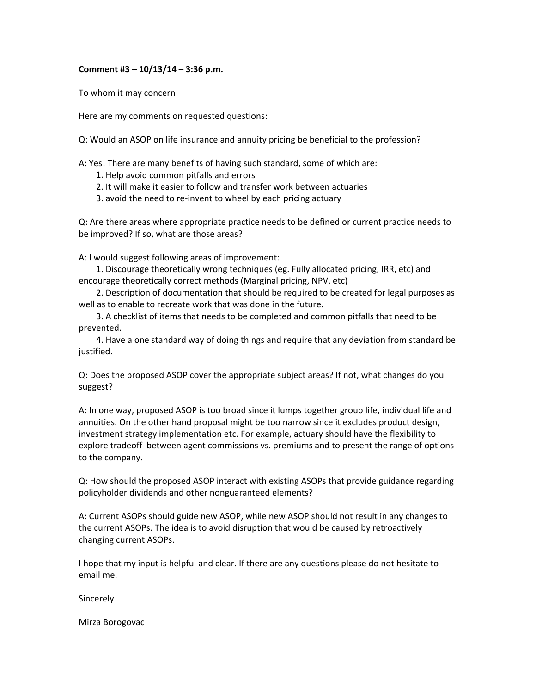## **Comment #3 – 10/13/14 – 3:36 p.m.**

To whom it may concern

Here are my comments on requested questions:

Q: Would an ASOP on life insurance and annuity pricing be beneficial to the profession?

A: Yes! There are many benefits of having such standard, some of which are:

- 1. Help avoid common pitfalls and errors
- 2. It will make it easier to follow and transfer work between actuaries
- 3. avoid the need to re‐invent to wheel by each pricing actuary

Q: Are there areas where appropriate practice needs to be defined or current practice needs to be improved? If so, what are those areas?

A: I would suggest following areas of improvement:

 1. Discourage theoretically wrong techniques (eg. Fully allocated pricing, IRR, etc) and encourage theoretically correct methods (Marginal pricing, NPV, etc)

 2. Description of documentation that should be required to be created for legal purposes as well as to enable to recreate work that was done in the future.

 3. A checklist of items that needs to be completed and common pitfalls that need to be prevented.

 4. Have a one standard way of doing things and require that any deviation from standard be justified.

Q: Does the proposed ASOP cover the appropriate subject areas? If not, what changes do you suggest?

A: In one way, proposed ASOP is too broad since it lumps together group life, individual life and annuities. On the other hand proposal might be too narrow since it excludes product design, investment strategy implementation etc. For example, actuary should have the flexibility to explore tradeoff between agent commissions vs. premiums and to present the range of options to the company.

Q: How should the proposed ASOP interact with existing ASOPs that provide guidance regarding policyholder dividends and other nonguaranteed elements?

A: Current ASOPs should guide new ASOP, while new ASOP should not result in any changes to the current ASOPs. The idea is to avoid disruption that would be caused by retroactively changing current ASOPs.

I hope that my input is helpful and clear. If there are any questions please do not hesitate to email me.

Sincerely

Mirza Borogovac